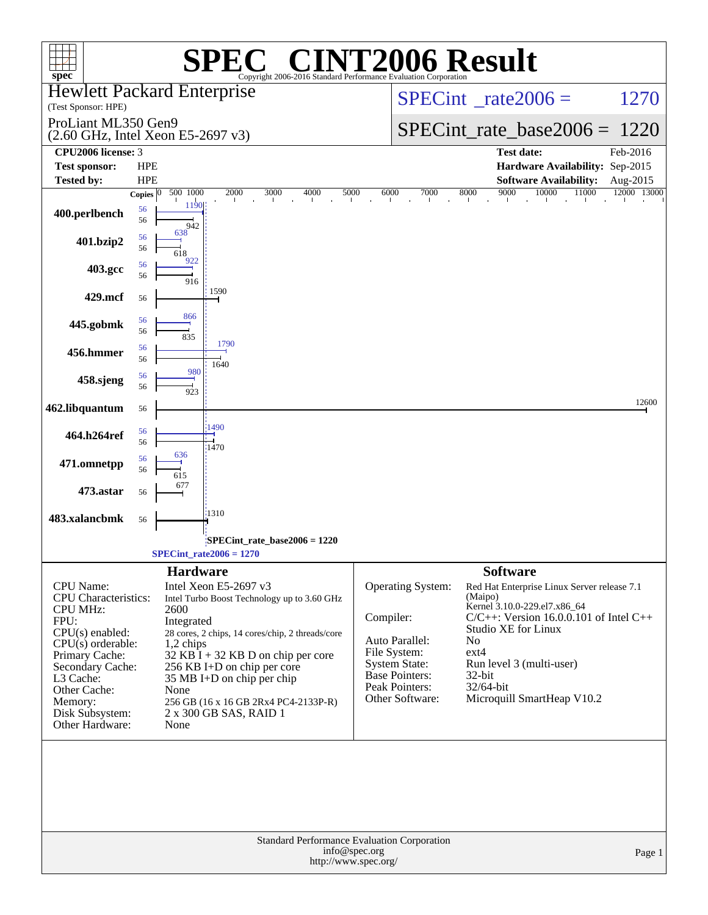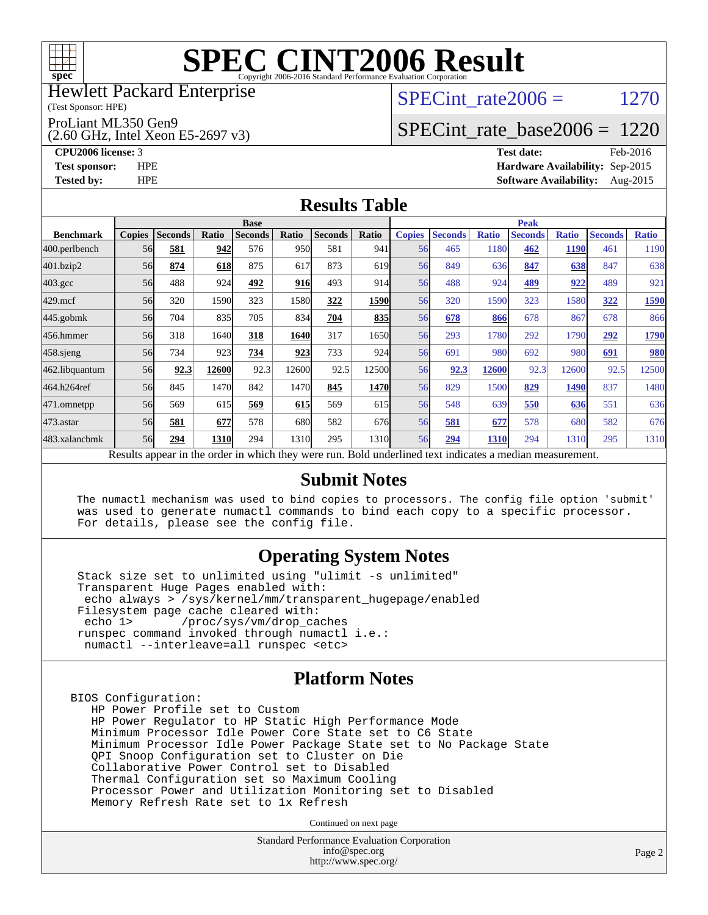

Hewlett Packard Enterprise

(Test Sponsor: HPE)

ProLiant ML350 Gen9

(2.60 GHz, Intel Xeon E5-2697 v3)

SPECint rate  $2006 = 1270$ 

### [SPECint\\_rate\\_base2006 =](http://www.spec.org/auto/cpu2006/Docs/result-fields.html#SPECintratebase2006) 1220

**[CPU2006 license:](http://www.spec.org/auto/cpu2006/Docs/result-fields.html#CPU2006license)** 3 **[Test date:](http://www.spec.org/auto/cpu2006/Docs/result-fields.html#Testdate)** Feb-2016 **[Test sponsor:](http://www.spec.org/auto/cpu2006/Docs/result-fields.html#Testsponsor)** HPE **[Hardware Availability:](http://www.spec.org/auto/cpu2006/Docs/result-fields.html#HardwareAvailability)** Sep-2015 **[Tested by:](http://www.spec.org/auto/cpu2006/Docs/result-fields.html#Testedby)** HPE **[Software Availability:](http://www.spec.org/auto/cpu2006/Docs/result-fields.html#SoftwareAvailability)** Aug-2015

### **[Results Table](http://www.spec.org/auto/cpu2006/Docs/result-fields.html#ResultsTable)**

|                    | <b>Base</b>   |                |       |                                                                                                          |            |                |       | <b>Peak</b>   |                |              |                |              |                |              |
|--------------------|---------------|----------------|-------|----------------------------------------------------------------------------------------------------------|------------|----------------|-------|---------------|----------------|--------------|----------------|--------------|----------------|--------------|
| <b>Benchmark</b>   | <b>Copies</b> | <b>Seconds</b> | Ratio | <b>Seconds</b>                                                                                           | Ratio      | <b>Seconds</b> | Ratio | <b>Copies</b> | <b>Seconds</b> | <b>Ratio</b> | <b>Seconds</b> | <b>Ratio</b> | <b>Seconds</b> | <b>Ratio</b> |
| 400.perlbench      | 56            | 581            | 942   | 576                                                                                                      | 950        | 581            | 941   | 56            | 465            | 1180         | 462            | <b>1190</b>  | 461            | 1190         |
| 401.bzip2          | 56            | 874            | 618   | 875                                                                                                      | 617        | 873            | 619   | 56            | 849            | 636          | 847            | 638          | 847            | 638          |
| $403.\mathrm{gcc}$ | 56            | 488            | 924   | 492                                                                                                      | <b>916</b> | 493            | 914   | 56            | 488            | 924          | 489            | 922          | 489            | 921          |
| $429$ .mcf         | 56            | 320            | 1590  | 323                                                                                                      | 1580       | 322            | 1590  | 56            | 320            | 1590         | 323            | 1580         | 322            | 1590         |
| $445$ .gobm $k$    | 56            | 704            | 835   | 705                                                                                                      | 834        | 704            | 835   | 56            | 678            | 866          | 678            | 867          | 678            | 866          |
| 456.hmmer          | 56            | 318            | 1640  | 318                                                                                                      | 1640       | 317            | 1650  | 56            | 293            | 1780         | 292            | 1790         | 292            | 1790         |
| $458$ .sjeng       | 56            | 734            | 923   | 734                                                                                                      | 923        | 733            | 924   | 56            | 691            | 980          | 692            | 980          | 691            | <b>980</b>   |
| 462.libquantum     | 56            | 92.3           | 12600 | 92.3                                                                                                     | 12600      | 92.5           | 12500 | 56            | 92.3           | 12600        | 92.3           | 12600        | 92.5           | 12500        |
| 464.h264ref        | 56            | 845            | 1470  | 842                                                                                                      | 1470       | 845            | 1470  | 56            | 829            | 1500         | 829            | 1490         | 837            | 1480         |
| 471.omnetpp        | 56            | 569            | 615   | 569                                                                                                      | 615        | 569            | 615   | 56            | 548            | 639          | 550            | 636          | 551            | 636          |
| $473$ . astar      | 56            | 581            | 677   | 578                                                                                                      | 680        | 582            | 676   | 56            | 581            | 677          | 578            | 680          | 582            | 676          |
| 483.xalancbmk      | 56            | 294            | 1310  | 294                                                                                                      | 1310       | 295            | 1310  | 56            | 294            | 1310         | 294            | 1310         | 295            | 1310         |
|                    |               |                |       | Results appear in the order in which they were run. Bold underlined text indicates a median measurement. |            |                |       |               |                |              |                |              |                |              |

#### **[Submit Notes](http://www.spec.org/auto/cpu2006/Docs/result-fields.html#SubmitNotes)**

 The numactl mechanism was used to bind copies to processors. The config file option 'submit' was used to generate numactl commands to bind each copy to a specific processor. For details, please see the config file.

### **[Operating System Notes](http://www.spec.org/auto/cpu2006/Docs/result-fields.html#OperatingSystemNotes)**

 Stack size set to unlimited using "ulimit -s unlimited" Transparent Huge Pages enabled with: echo always > /sys/kernel/mm/transparent\_hugepage/enabled Filesystem page cache cleared with:<br>echo 1> /proc/sys/vm/drop ca /proc/sys/vm/drop\_caches runspec command invoked through numactl i.e.: numactl --interleave=all runspec <etc>

### **[Platform Notes](http://www.spec.org/auto/cpu2006/Docs/result-fields.html#PlatformNotes)**

BIOS Configuration: HP Power Profile set to Custom HP Power Regulator to HP Static High Performance Mode Minimum Processor Idle Power Core State set to C6 State Minimum Processor Idle Power Package State set to No Package State QPI Snoop Configuration set to Cluster on Die Collaborative Power Control set to Disabled Thermal Configuration set so Maximum Cooling Processor Power and Utilization Monitoring set to Disabled Memory Refresh Rate set to 1x Refresh

Continued on next page

Standard Performance Evaluation Corporation [info@spec.org](mailto:info@spec.org) <http://www.spec.org/>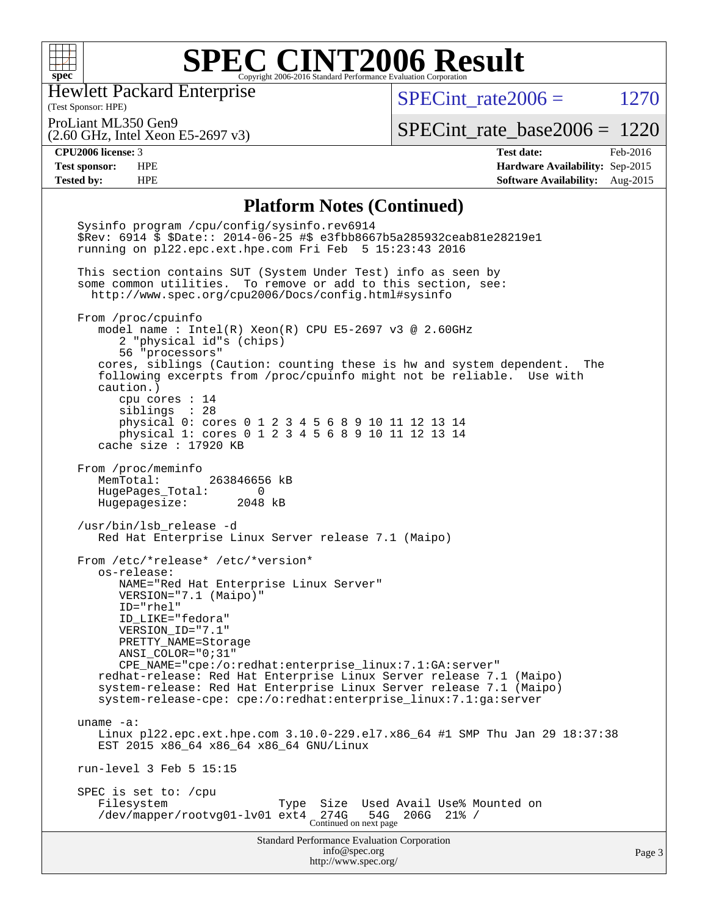

Hewlett Packard Enterprise

SPECint rate  $2006 = 1270$ 

(Test Sponsor: HPE)

(2.60 GHz, Intel Xeon E5-2697 v3) ProLiant ML350 Gen9

[SPECint\\_rate\\_base2006 =](http://www.spec.org/auto/cpu2006/Docs/result-fields.html#SPECintratebase2006) 1220

**[CPU2006 license:](http://www.spec.org/auto/cpu2006/Docs/result-fields.html#CPU2006license)** 3 **[Test date:](http://www.spec.org/auto/cpu2006/Docs/result-fields.html#Testdate)** Feb-2016 **[Test sponsor:](http://www.spec.org/auto/cpu2006/Docs/result-fields.html#Testsponsor)** HPE **[Hardware Availability:](http://www.spec.org/auto/cpu2006/Docs/result-fields.html#HardwareAvailability)** Sep-2015 **[Tested by:](http://www.spec.org/auto/cpu2006/Docs/result-fields.html#Testedby)** HPE **[Software Availability:](http://www.spec.org/auto/cpu2006/Docs/result-fields.html#SoftwareAvailability)** Aug-2015

### **[Platform Notes \(Continued\)](http://www.spec.org/auto/cpu2006/Docs/result-fields.html#PlatformNotes)**

Standard Performance Evaluation Corporation [info@spec.org](mailto:info@spec.org) <http://www.spec.org/> Page 3 Sysinfo program /cpu/config/sysinfo.rev6914 \$Rev: 6914 \$ \$Date:: 2014-06-25 #\$ e3fbb8667b5a285932ceab81e28219e1 running on pl22.epc.ext.hpe.com Fri Feb 5 15:23:43 2016 This section contains SUT (System Under Test) info as seen by some common utilities. To remove or add to this section, see: <http://www.spec.org/cpu2006/Docs/config.html#sysinfo> From /proc/cpuinfo model name : Intel(R) Xeon(R) CPU E5-2697 v3 @ 2.60GHz 2 "physical id"s (chips) 56 "processors" cores, siblings (Caution: counting these is hw and system dependent. The following excerpts from /proc/cpuinfo might not be reliable. Use with caution.) cpu cores : 14 siblings : 28 physical 0: cores 0 1 2 3 4 5 6 8 9 10 11 12 13 14 physical 1: cores 0 1 2 3 4 5 6 8 9 10 11 12 13 14 cache size : 17920 KB From /proc/meminfo MemTotal: 263846656 kB HugePages\_Total: 0<br>Hugepagesize: 2048 kB Hugepagesize: /usr/bin/lsb\_release -d Red Hat Enterprise Linux Server release 7.1 (Maipo) From /etc/\*release\* /etc/\*version\* os-release: NAME="Red Hat Enterprise Linux Server" VERSION="7.1 (Maipo)" ID="rhel" ID\_LIKE="fedora" VERSION\_ID="7.1" PRETTY\_NAME=Storage ANSI\_COLOR="0;31" CPE\_NAME="cpe:/o:redhat:enterprise\_linux:7.1:GA:server" redhat-release: Red Hat Enterprise Linux Server release 7.1 (Maipo) system-release: Red Hat Enterprise Linux Server release 7.1 (Maipo) system-release-cpe: cpe:/o:redhat:enterprise\_linux:7.1:ga:server uname -a: Linux pl22.epc.ext.hpe.com 3.10.0-229.el7.x86\_64 #1 SMP Thu Jan 29 18:37:38 EST 2015 x86\_64 x86\_64 x86\_64 GNU/Linux run-level 3 Feb 5 15:15 SPEC is set to: /cpu Filesystem Type Size Used Avail Use% Mounted on /dev/mapper/rootvg01-lv01 ext4 274G 54G 206G 21% /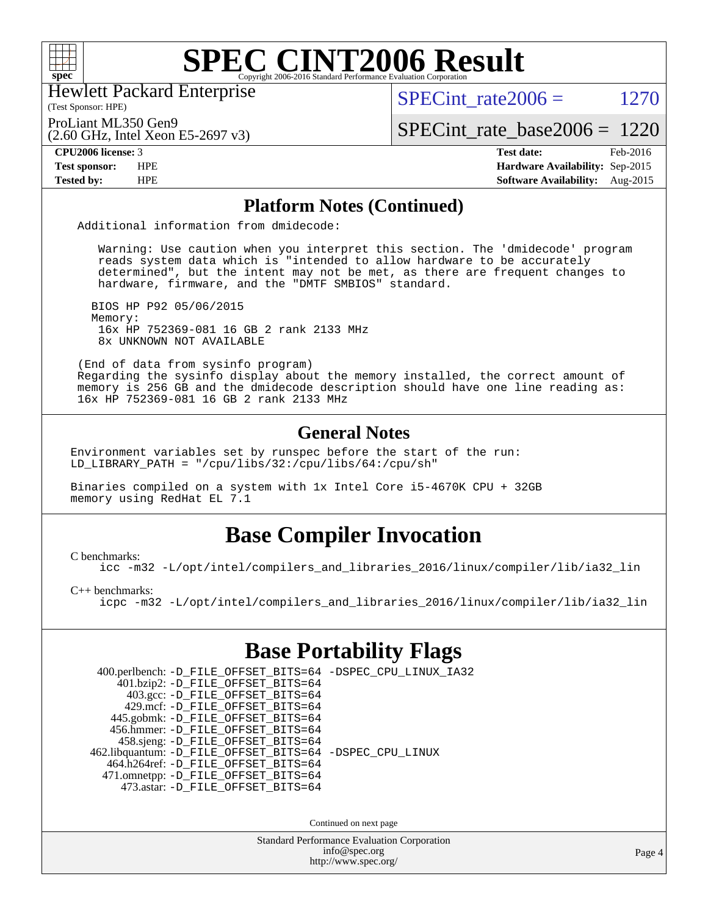

Hewlett Packard Enterprise

(Test Sponsor: HPE)

SPECint rate  $2006 = 1270$ 

(2.60 GHz, Intel Xeon E5-2697 v3) ProLiant ML350 Gen9

[SPECint\\_rate\\_base2006 =](http://www.spec.org/auto/cpu2006/Docs/result-fields.html#SPECintratebase2006) 1220

**[CPU2006 license:](http://www.spec.org/auto/cpu2006/Docs/result-fields.html#CPU2006license)** 3 **[Test date:](http://www.spec.org/auto/cpu2006/Docs/result-fields.html#Testdate)** Feb-2016 **[Test sponsor:](http://www.spec.org/auto/cpu2006/Docs/result-fields.html#Testsponsor)** HPE **[Hardware Availability:](http://www.spec.org/auto/cpu2006/Docs/result-fields.html#HardwareAvailability)** Sep-2015 **[Tested by:](http://www.spec.org/auto/cpu2006/Docs/result-fields.html#Testedby)** HPE **[Software Availability:](http://www.spec.org/auto/cpu2006/Docs/result-fields.html#SoftwareAvailability)** Aug-2015

### **[Platform Notes \(Continued\)](http://www.spec.org/auto/cpu2006/Docs/result-fields.html#PlatformNotes)**

Additional information from dmidecode:

 Warning: Use caution when you interpret this section. The 'dmidecode' program reads system data which is "intended to allow hardware to be accurately determined", but the intent may not be met, as there are frequent changes to hardware, firmware, and the "DMTF SMBIOS" standard.

 BIOS HP P92 05/06/2015 Memory: 16x HP 752369-081 16 GB 2 rank 2133 MHz 8x UNKNOWN NOT AVAILABLE

 (End of data from sysinfo program) Regarding the sysinfo display about the memory installed, the correct amount of memory is 256 GB and the dmidecode description should have one line reading as: 16x HP 752369-081 16 GB 2 rank 2133 MHz

### **[General Notes](http://www.spec.org/auto/cpu2006/Docs/result-fields.html#GeneralNotes)**

Environment variables set by runspec before the start of the run: LD\_LIBRARY\_PATH = "/cpu/libs/32:/cpu/libs/64:/cpu/sh"

Binaries compiled on a system with 1x Intel Core i5-4670K CPU + 32GB memory using RedHat EL 7.1

## **[Base Compiler Invocation](http://www.spec.org/auto/cpu2006/Docs/result-fields.html#BaseCompilerInvocation)**

[C benchmarks](http://www.spec.org/auto/cpu2006/Docs/result-fields.html#Cbenchmarks):

[icc -m32 -L/opt/intel/compilers\\_and\\_libraries\\_2016/linux/compiler/lib/ia32\\_lin](http://www.spec.org/cpu2006/results/res2016q1/cpu2006-20160208-39017.flags.html#user_CCbase_intel_icc_e10256ba5924b668798078a321b0cb3f)

[C++ benchmarks:](http://www.spec.org/auto/cpu2006/Docs/result-fields.html#CXXbenchmarks)

[icpc -m32 -L/opt/intel/compilers\\_and\\_libraries\\_2016/linux/compiler/lib/ia32\\_lin](http://www.spec.org/cpu2006/results/res2016q1/cpu2006-20160208-39017.flags.html#user_CXXbase_intel_icpc_b4f50a394bdb4597aa5879c16bc3f5c5)

### **[Base Portability Flags](http://www.spec.org/auto/cpu2006/Docs/result-fields.html#BasePortabilityFlags)**

| 400.perlbench: -D_FILE_OFFSET_BITS=64 -DSPEC_CPU_LINUX_IA32 |  |
|-------------------------------------------------------------|--|
| 401.bzip2: -D_FILE_OFFSET_BITS=64                           |  |
| 403.gcc: -D_FILE_OFFSET_BITS=64                             |  |
| 429.mcf: -D_FILE_OFFSET_BITS=64                             |  |
| 445.gobmk: -D_FILE_OFFSET_BITS=64                           |  |
| 456.hmmer: -D FILE OFFSET BITS=64                           |  |
| 458.sjeng: -D_FILE_OFFSET_BITS=64                           |  |
| 462.libquantum: -D_FILE_OFFSET_BITS=64 -DSPEC_CPU_LINUX     |  |
| 464.h264ref: -D FILE OFFSET BITS=64                         |  |
| 471.omnetpp: -D_FILE_OFFSET_BITS=64                         |  |
| 473.astar: -D FILE OFFSET BITS=64                           |  |
|                                                             |  |

Continued on next page

Standard Performance Evaluation Corporation [info@spec.org](mailto:info@spec.org) <http://www.spec.org/>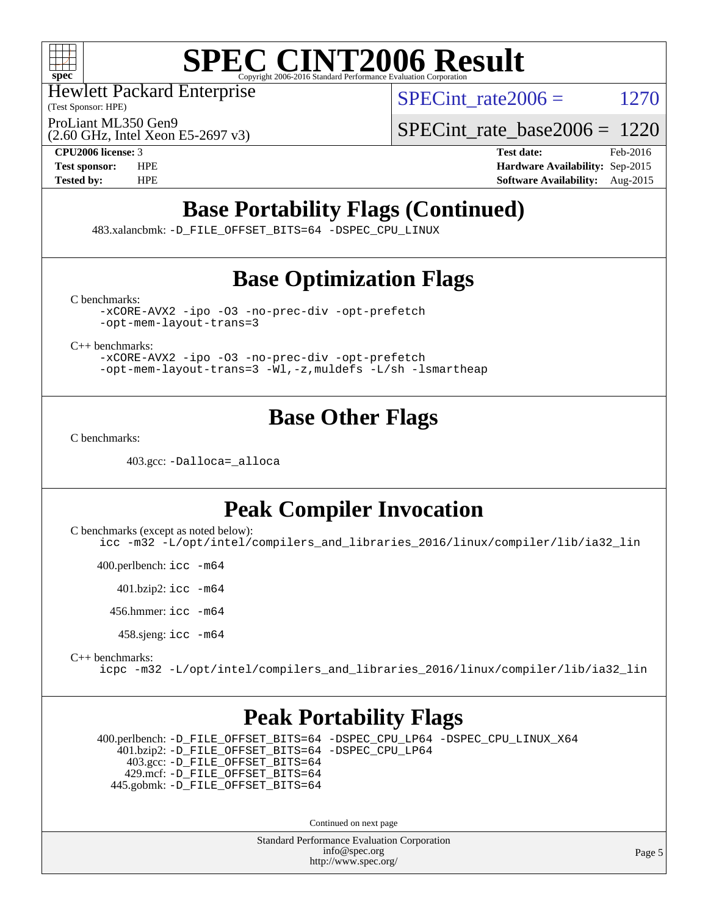

Hewlett Packard Enterprise

(Test Sponsor: HPE)

SPECint rate  $2006 = 1270$ 

(2.60 GHz, Intel Xeon E5-2697 v3) ProLiant ML350 Gen9

[SPECint\\_rate\\_base2006 =](http://www.spec.org/auto/cpu2006/Docs/result-fields.html#SPECintratebase2006) 1220

**[CPU2006 license:](http://www.spec.org/auto/cpu2006/Docs/result-fields.html#CPU2006license)** 3 **[Test date:](http://www.spec.org/auto/cpu2006/Docs/result-fields.html#Testdate)** Feb-2016 **[Test sponsor:](http://www.spec.org/auto/cpu2006/Docs/result-fields.html#Testsponsor)** HPE **[Hardware Availability:](http://www.spec.org/auto/cpu2006/Docs/result-fields.html#HardwareAvailability)** Sep-2015 **[Tested by:](http://www.spec.org/auto/cpu2006/Docs/result-fields.html#Testedby)** HPE **[Software Availability:](http://www.spec.org/auto/cpu2006/Docs/result-fields.html#SoftwareAvailability)** Aug-2015

# **[Base Portability Flags \(Continued\)](http://www.spec.org/auto/cpu2006/Docs/result-fields.html#BasePortabilityFlags)**

483.xalancbmk: [-D\\_FILE\\_OFFSET\\_BITS=64](http://www.spec.org/cpu2006/results/res2016q1/cpu2006-20160208-39017.flags.html#user_basePORTABILITY483_xalancbmk_file_offset_bits_64_438cf9856305ebd76870a2c6dc2689ab) [-DSPEC\\_CPU\\_LINUX](http://www.spec.org/cpu2006/results/res2016q1/cpu2006-20160208-39017.flags.html#b483.xalancbmk_baseCXXPORTABILITY_DSPEC_CPU_LINUX)

# **[Base Optimization Flags](http://www.spec.org/auto/cpu2006/Docs/result-fields.html#BaseOptimizationFlags)**

[C benchmarks](http://www.spec.org/auto/cpu2006/Docs/result-fields.html#Cbenchmarks):

[-xCORE-AVX2](http://www.spec.org/cpu2006/results/res2016q1/cpu2006-20160208-39017.flags.html#user_CCbase_f-xAVX2_5f5fc0cbe2c9f62c816d3e45806c70d7) [-ipo](http://www.spec.org/cpu2006/results/res2016q1/cpu2006-20160208-39017.flags.html#user_CCbase_f-ipo) [-O3](http://www.spec.org/cpu2006/results/res2016q1/cpu2006-20160208-39017.flags.html#user_CCbase_f-O3) [-no-prec-div](http://www.spec.org/cpu2006/results/res2016q1/cpu2006-20160208-39017.flags.html#user_CCbase_f-no-prec-div) [-opt-prefetch](http://www.spec.org/cpu2006/results/res2016q1/cpu2006-20160208-39017.flags.html#user_CCbase_f-opt-prefetch) [-opt-mem-layout-trans=3](http://www.spec.org/cpu2006/results/res2016q1/cpu2006-20160208-39017.flags.html#user_CCbase_f-opt-mem-layout-trans_a7b82ad4bd7abf52556d4961a2ae94d5)

[C++ benchmarks:](http://www.spec.org/auto/cpu2006/Docs/result-fields.html#CXXbenchmarks)

[-xCORE-AVX2](http://www.spec.org/cpu2006/results/res2016q1/cpu2006-20160208-39017.flags.html#user_CXXbase_f-xAVX2_5f5fc0cbe2c9f62c816d3e45806c70d7) [-ipo](http://www.spec.org/cpu2006/results/res2016q1/cpu2006-20160208-39017.flags.html#user_CXXbase_f-ipo) [-O3](http://www.spec.org/cpu2006/results/res2016q1/cpu2006-20160208-39017.flags.html#user_CXXbase_f-O3) [-no-prec-div](http://www.spec.org/cpu2006/results/res2016q1/cpu2006-20160208-39017.flags.html#user_CXXbase_f-no-prec-div) [-opt-prefetch](http://www.spec.org/cpu2006/results/res2016q1/cpu2006-20160208-39017.flags.html#user_CXXbase_f-opt-prefetch) [-opt-mem-layout-trans=3](http://www.spec.org/cpu2006/results/res2016q1/cpu2006-20160208-39017.flags.html#user_CXXbase_f-opt-mem-layout-trans_a7b82ad4bd7abf52556d4961a2ae94d5) [-Wl,-z,muldefs](http://www.spec.org/cpu2006/results/res2016q1/cpu2006-20160208-39017.flags.html#user_CXXbase_link_force_multiple1_74079c344b956b9658436fd1b6dd3a8a) [-L/sh -lsmartheap](http://www.spec.org/cpu2006/results/res2016q1/cpu2006-20160208-39017.flags.html#user_CXXbase_SmartHeap_32f6c82aa1ed9c52345d30cf6e4a0499)

# **[Base Other Flags](http://www.spec.org/auto/cpu2006/Docs/result-fields.html#BaseOtherFlags)**

[C benchmarks](http://www.spec.org/auto/cpu2006/Docs/result-fields.html#Cbenchmarks):

403.gcc: [-Dalloca=\\_alloca](http://www.spec.org/cpu2006/results/res2016q1/cpu2006-20160208-39017.flags.html#b403.gcc_baseEXTRA_CFLAGS_Dalloca_be3056838c12de2578596ca5467af7f3)

## **[Peak Compiler Invocation](http://www.spec.org/auto/cpu2006/Docs/result-fields.html#PeakCompilerInvocation)**

[C benchmarks \(except as noted below\)](http://www.spec.org/auto/cpu2006/Docs/result-fields.html#Cbenchmarksexceptasnotedbelow): [icc -m32 -L/opt/intel/compilers\\_and\\_libraries\\_2016/linux/compiler/lib/ia32\\_lin](http://www.spec.org/cpu2006/results/res2016q1/cpu2006-20160208-39017.flags.html#user_CCpeak_intel_icc_e10256ba5924b668798078a321b0cb3f)

400.perlbench: [icc -m64](http://www.spec.org/cpu2006/results/res2016q1/cpu2006-20160208-39017.flags.html#user_peakCCLD400_perlbench_intel_icc_64bit_bda6cc9af1fdbb0edc3795bac97ada53)

401.bzip2: [icc -m64](http://www.spec.org/cpu2006/results/res2016q1/cpu2006-20160208-39017.flags.html#user_peakCCLD401_bzip2_intel_icc_64bit_bda6cc9af1fdbb0edc3795bac97ada53)

456.hmmer: [icc -m64](http://www.spec.org/cpu2006/results/res2016q1/cpu2006-20160208-39017.flags.html#user_peakCCLD456_hmmer_intel_icc_64bit_bda6cc9af1fdbb0edc3795bac97ada53)

458.sjeng: [icc -m64](http://www.spec.org/cpu2006/results/res2016q1/cpu2006-20160208-39017.flags.html#user_peakCCLD458_sjeng_intel_icc_64bit_bda6cc9af1fdbb0edc3795bac97ada53)

#### [C++ benchmarks:](http://www.spec.org/auto/cpu2006/Docs/result-fields.html#CXXbenchmarks) [icpc -m32 -L/opt/intel/compilers\\_and\\_libraries\\_2016/linux/compiler/lib/ia32\\_lin](http://www.spec.org/cpu2006/results/res2016q1/cpu2006-20160208-39017.flags.html#user_CXXpeak_intel_icpc_b4f50a394bdb4597aa5879c16bc3f5c5)

### **[Peak Portability Flags](http://www.spec.org/auto/cpu2006/Docs/result-fields.html#PeakPortabilityFlags)**

 400.perlbench: [-D\\_FILE\\_OFFSET\\_BITS=64](http://www.spec.org/cpu2006/results/res2016q1/cpu2006-20160208-39017.flags.html#user_peakPORTABILITY400_perlbench_file_offset_bits_64_438cf9856305ebd76870a2c6dc2689ab) [-DSPEC\\_CPU\\_LP64](http://www.spec.org/cpu2006/results/res2016q1/cpu2006-20160208-39017.flags.html#b400.perlbench_peakCPORTABILITY_DSPEC_CPU_LP64) [-DSPEC\\_CPU\\_LINUX\\_X64](http://www.spec.org/cpu2006/results/res2016q1/cpu2006-20160208-39017.flags.html#b400.perlbench_peakCPORTABILITY_DSPEC_CPU_LINUX_X64) 401.bzip2: [-D\\_FILE\\_OFFSET\\_BITS=64](http://www.spec.org/cpu2006/results/res2016q1/cpu2006-20160208-39017.flags.html#user_peakPORTABILITY401_bzip2_file_offset_bits_64_438cf9856305ebd76870a2c6dc2689ab) [-DSPEC\\_CPU\\_LP64](http://www.spec.org/cpu2006/results/res2016q1/cpu2006-20160208-39017.flags.html#suite_peakCPORTABILITY401_bzip2_DSPEC_CPU_LP64) 403.gcc: [-D\\_FILE\\_OFFSET\\_BITS=64](http://www.spec.org/cpu2006/results/res2016q1/cpu2006-20160208-39017.flags.html#user_peakPORTABILITY403_gcc_file_offset_bits_64_438cf9856305ebd76870a2c6dc2689ab) 429.mcf: [-D\\_FILE\\_OFFSET\\_BITS=64](http://www.spec.org/cpu2006/results/res2016q1/cpu2006-20160208-39017.flags.html#user_peakPORTABILITY429_mcf_file_offset_bits_64_438cf9856305ebd76870a2c6dc2689ab) 445.gobmk: [-D\\_FILE\\_OFFSET\\_BITS=64](http://www.spec.org/cpu2006/results/res2016q1/cpu2006-20160208-39017.flags.html#user_peakPORTABILITY445_gobmk_file_offset_bits_64_438cf9856305ebd76870a2c6dc2689ab)

Continued on next page

Standard Performance Evaluation Corporation [info@spec.org](mailto:info@spec.org) <http://www.spec.org/>

Page 5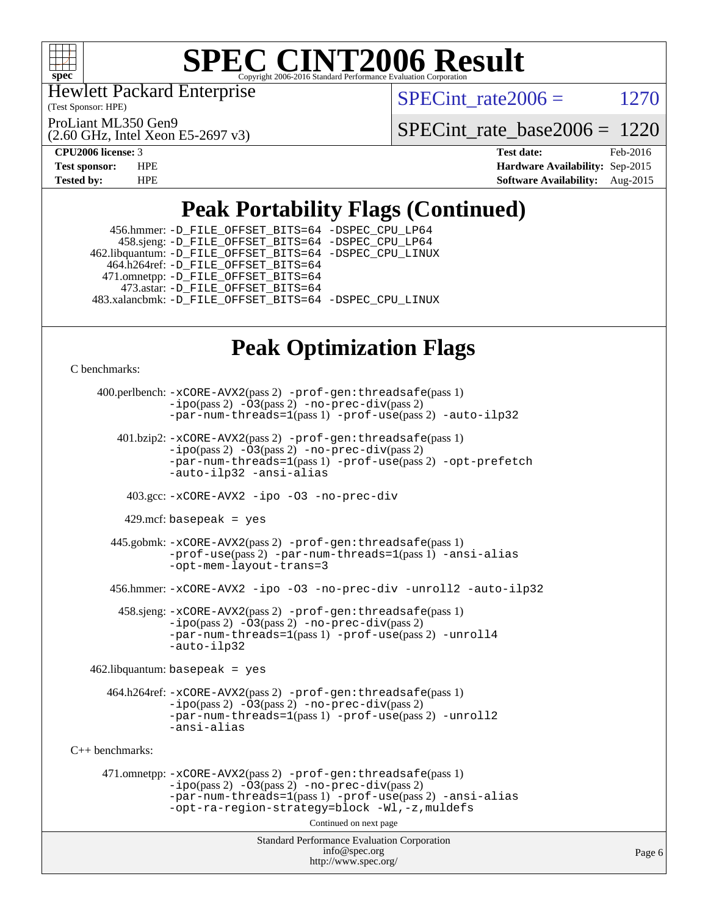

Hewlett Packard Enterprise

(Test Sponsor: HPE)

ProLiant ML350 Gen9

(2.60 GHz, Intel Xeon E5-2697 v3)

SPECint rate  $2006 = 1270$ 

[SPECint\\_rate\\_base2006 =](http://www.spec.org/auto/cpu2006/Docs/result-fields.html#SPECintratebase2006) 1220

**[CPU2006 license:](http://www.spec.org/auto/cpu2006/Docs/result-fields.html#CPU2006license)** 3 **[Test date:](http://www.spec.org/auto/cpu2006/Docs/result-fields.html#Testdate)** Feb-2016 **[Test sponsor:](http://www.spec.org/auto/cpu2006/Docs/result-fields.html#Testsponsor)** HPE **[Hardware Availability:](http://www.spec.org/auto/cpu2006/Docs/result-fields.html#HardwareAvailability)** Sep-2015 **[Tested by:](http://www.spec.org/auto/cpu2006/Docs/result-fields.html#Testedby)** HPE **[Software Availability:](http://www.spec.org/auto/cpu2006/Docs/result-fields.html#SoftwareAvailability)** Aug-2015

# **[Peak Portability Flags \(Continued\)](http://www.spec.org/auto/cpu2006/Docs/result-fields.html#PeakPortabilityFlags)**

 456.hmmer: [-D\\_FILE\\_OFFSET\\_BITS=64](http://www.spec.org/cpu2006/results/res2016q1/cpu2006-20160208-39017.flags.html#user_peakPORTABILITY456_hmmer_file_offset_bits_64_438cf9856305ebd76870a2c6dc2689ab) [-DSPEC\\_CPU\\_LP64](http://www.spec.org/cpu2006/results/res2016q1/cpu2006-20160208-39017.flags.html#suite_peakCPORTABILITY456_hmmer_DSPEC_CPU_LP64) 458.sjeng: [-D\\_FILE\\_OFFSET\\_BITS=64](http://www.spec.org/cpu2006/results/res2016q1/cpu2006-20160208-39017.flags.html#user_peakPORTABILITY458_sjeng_file_offset_bits_64_438cf9856305ebd76870a2c6dc2689ab) [-DSPEC\\_CPU\\_LP64](http://www.spec.org/cpu2006/results/res2016q1/cpu2006-20160208-39017.flags.html#suite_peakCPORTABILITY458_sjeng_DSPEC_CPU_LP64) 462.libquantum: [-D\\_FILE\\_OFFSET\\_BITS=64](http://www.spec.org/cpu2006/results/res2016q1/cpu2006-20160208-39017.flags.html#user_peakPORTABILITY462_libquantum_file_offset_bits_64_438cf9856305ebd76870a2c6dc2689ab) [-DSPEC\\_CPU\\_LINUX](http://www.spec.org/cpu2006/results/res2016q1/cpu2006-20160208-39017.flags.html#b462.libquantum_peakCPORTABILITY_DSPEC_CPU_LINUX) 464.h264ref: [-D\\_FILE\\_OFFSET\\_BITS=64](http://www.spec.org/cpu2006/results/res2016q1/cpu2006-20160208-39017.flags.html#user_peakPORTABILITY464_h264ref_file_offset_bits_64_438cf9856305ebd76870a2c6dc2689ab) 471.omnetpp: [-D\\_FILE\\_OFFSET\\_BITS=64](http://www.spec.org/cpu2006/results/res2016q1/cpu2006-20160208-39017.flags.html#user_peakPORTABILITY471_omnetpp_file_offset_bits_64_438cf9856305ebd76870a2c6dc2689ab) 473.astar: [-D\\_FILE\\_OFFSET\\_BITS=64](http://www.spec.org/cpu2006/results/res2016q1/cpu2006-20160208-39017.flags.html#user_peakPORTABILITY473_astar_file_offset_bits_64_438cf9856305ebd76870a2c6dc2689ab) 483.xalancbmk: [-D\\_FILE\\_OFFSET\\_BITS=64](http://www.spec.org/cpu2006/results/res2016q1/cpu2006-20160208-39017.flags.html#user_peakPORTABILITY483_xalancbmk_file_offset_bits_64_438cf9856305ebd76870a2c6dc2689ab) [-DSPEC\\_CPU\\_LINUX](http://www.spec.org/cpu2006/results/res2016q1/cpu2006-20160208-39017.flags.html#b483.xalancbmk_peakCXXPORTABILITY_DSPEC_CPU_LINUX)

# **[Peak Optimization Flags](http://www.spec.org/auto/cpu2006/Docs/result-fields.html#PeakOptimizationFlags)**

[C benchmarks](http://www.spec.org/auto/cpu2006/Docs/result-fields.html#Cbenchmarks):

```
Standard Performance Evaluation Corporation
                                           info@spec.org
                                         http://www.spec.org/
     400.perlbench: -xCORE-AVX2(pass 2) -prof-gen:threadsafe(pass 1)
                 -ipo(pass 2) -O3(pass 2) -no-prec-div(pass 2)
                 -par-num-threads=1(pass 1) -prof-use(pass 2) -auto-ilp32
        401.bzip2: -xCORE-AVX2(pass 2) -prof-gen:threadsafe(pass 1)
                 -ipo(pass 2) -O3(pass 2) -no-prec-div(pass 2)
                 -par-num-threads=1(pass 1) -prof-use(pass 2) -opt-prefetch
                 -auto-ilp32 -ansi-alias
          403.gcc: -xCORE-AVX2 -ipo -O3 -no-prec-div
          429.mcf: basepeak = yes
       445.gobmk: -xCORE-AVX2(pass 2) -prof-gen:threadsafe(pass 1)
                 -prof-use(pass 2) -par-num-threads=1(pass 1) -ansi-alias
                 -opt-mem-layout-trans=3
       456.hmmer: -xCORE-AVX2 -ipo -O3 -no-prec-div -unroll2 -auto-ilp32
         458.sjeng: -xCORE-AVX2(pass 2) -prof-gen:threadsafe(pass 1)
                 -ipo(pass 2) -O3(pass 2) -no-prec-div(pass 2)
                 -par-num-threads=1(pass 1) -prof-use(pass 2) -unroll4
                 -auto-ilp32
    462.libquantum: basepeak = yes
       464.h264ref: -xCORE-AVX2(pass 2) -prof-gen:threadsafe(pass 1)
                 -i\text{po}(pass 2) -\overline{03}(pass 2)-no-prec-div(pass 2)
                -par-num-threads=1(pass 1) -prof-use(pass 2) -unroll2
                -ansi-alias
C++ benchmarks: 
      471.omnetpp: -xCORE-AVX2(pass 2) -prof-gen:threadsafe(pass 1)
                 -ipo(pass 2) -O3(pass 2) -no-prec-div(pass 2)
                 -par-num-threads=1(pass 1) -prof-use(pass 2) -ansi-alias
                 -opt-ra-region-strategy=block -Wl,-z,muldefs
                                         Continued on next page
```